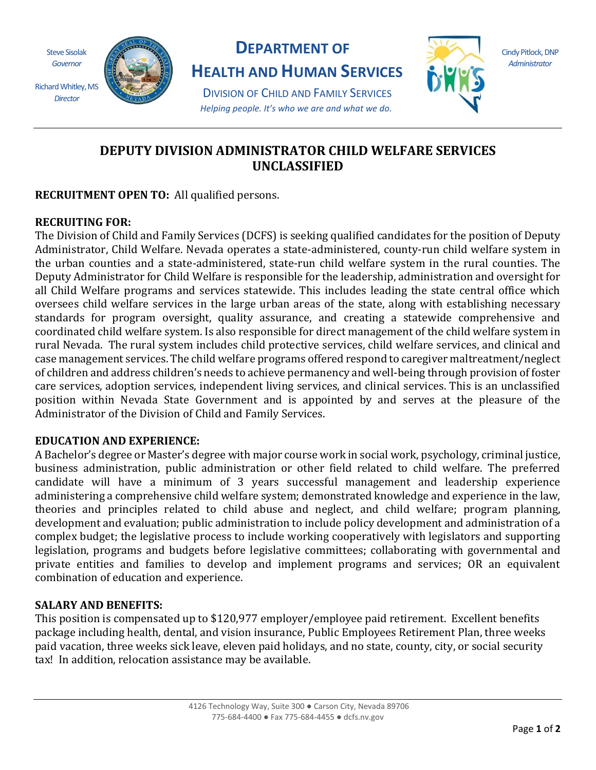Steve Sisolak *Governor* Richard Whitley, MS

*Director*



## **DEPARTMENT OF**

**HEALTH AND HUMAN SERVICES**

DIVISION OF CHILD AND FAMILY SERVICES *Helping people. It's who we are and what we do.*



Cindy Pitlock, DNP *Administrator*

# **DEPUTY DIVISION ADMINISTRATOR CHILD WELFARE SERVICES UNCLASSIFIED**

**RECRUITMENT OPEN TO:** All qualified persons.

### **RECRUITING FOR:**

The Division of Child and Family Services (DCFS) is seeking qualified candidates for the position of Deputy Administrator, Child Welfare. Nevada operates a state-administered, county-run child welfare system in the urban counties and a state-administered, state-run child welfare system in the rural counties. The Deputy Administrator for Child Welfare is responsible for the leadership, administration and oversight for all Child Welfare programs and services statewide. This includes leading the state central office which oversees child welfare services in the large urban areas of the state, along with establishing necessary standards for program oversight, quality assurance, and creating a statewide comprehensive and coordinated child welfare system. Is also responsible for direct management of the child welfare system in rural Nevada. The rural system includes child protective services, child welfare services, and clinical and case management services. The child welfare programs offered respond to caregiver maltreatment/neglect of children and address children's needs to achieve permanency and well-being through provision of foster care services, adoption services, independent living services, and clinical services. This is an unclassified position within Nevada State Government and is appointed by and serves at the pleasure of the Administrator of the Division of Child and Family Services.

### **EDUCATION AND EXPERIENCE:**

A Bachelor's degree or Master's degree with major course work in social work, psychology, criminal justice, business administration, public administration or other field related to child welfare. The preferred candidate will have a minimum of 3 years successful management and leadership experience administering a comprehensive child welfare system; demonstrated knowledge and experience in the law, theories and principles related to child abuse and neglect, and child welfare; program planning, development and evaluation; public administration to include policy development and administration of a complex budget; the legislative process to include working cooperatively with legislators and supporting legislation, programs and budgets before legislative committees; collaborating with governmental and private entities and families to develop and implement programs and services; OR an equivalent combination of education and experience.

### **SALARY AND BENEFITS:**

This position is compensated up to \$120,977 employer/employee paid retirement. Excellent benefits package including health, dental, and vision insurance, Public Employees Retirement Plan, three weeks paid vacation, three weeks sick leave, eleven paid holidays, and no state, county, city, or social security tax! In addition, relocation assistance may be available.